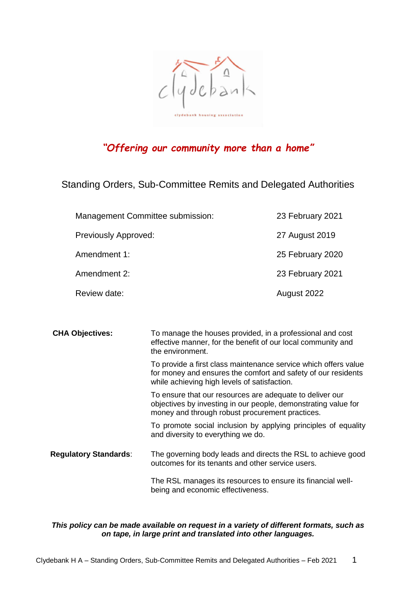

# *"Offering our community more than a home"*

Standing Orders, Sub-Committee Remits and Delegated Authorities

| Management Committee submission: | 23 February 2021 |
|----------------------------------|------------------|
| <b>Previously Approved:</b>      | 27 August 2019   |
| Amendment 1:                     | 25 February 2020 |
| Amendment 2:                     | 23 February 2021 |
| Review date:                     | August 2022      |

| <b>CHA Objectives:</b>       | To manage the houses provided, in a professional and cost<br>effective manner, for the benefit of our local community and<br>the environment.                                    |
|------------------------------|----------------------------------------------------------------------------------------------------------------------------------------------------------------------------------|
|                              | To provide a first class maintenance service which offers value<br>for money and ensures the comfort and safety of our residents<br>while achieving high levels of satisfaction. |
|                              | To ensure that our resources are adequate to deliver our<br>objectives by investing in our people, demonstrating value for<br>money and through robust procurement practices.    |
|                              | To promote social inclusion by applying principles of equality<br>and diversity to everything we do.                                                                             |
| <b>Regulatory Standards:</b> | The governing body leads and directs the RSL to achieve good<br>outcomes for its tenants and other service users.                                                                |
|                              | The RSL manages its resources to ensure its financial well-<br>being and economic effectiveness.                                                                                 |

#### *This policy can be made available on request in a variety of different formats, such as on tape, in large print and translated into other languages.*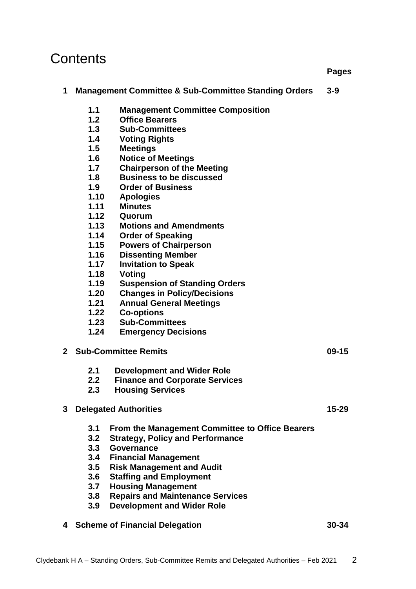# **Contents**

## **1 Management Committee & Sub-Committee Standing Orders 3-9**

- **1.1 Management Committee Composition**
- **1.2 Office Bearers**
- **1.3 Sub-Committees**
- **1.4 Voting Rights**
- **1.5 Meetings**
- **1.6 Notice of Meetings**
- **1.7 Chairperson of the Meeting**
- **1.8 Business to be discussed**
- **1.9 Order of Business**
- **1.10 Apologies**
- **1.11 Minutes**
- **1.12 Quorum**
- **1.13 Motions and Amendments**
- **1.14 Order of Speaking**
- **1.15 Powers of Chairperson**
- **1.16 Dissenting Member**
- **1.17 Invitation to Speak**
- **1.18 Voting**
- **1.19 Suspension of Standing Orders**
- **1.20 Changes in Policy/Decisions**
- **1.21 Annual General Meetings**
- **1.22 Co-options**
- **1.23 Sub-Committees**
- **1.24 Emergency Decisions**

#### **2 Sub-Committee Remits 09-15**

- **2.1 Development and Wider Role**
- **2.2 Finance and Corporate Services**
- **2.3 Housing Services**

### **3 Delegated Authorities 15-29**

- **3.1 From the Management Committee to Office Bearers**
- **3.2 Strategy, Policy and Performance**
- **3.3 Governance**
- **3.4 Financial Management**
- **3.5 Risk Management and Audit**
- **3.6 Staffing and Employment**
- **3.7 Housing Management**
- **3.8 Repairs and Maintenance Services**
- **3.9 Development and Wider Role**
- **4 Scheme of Financial Delegation 30-34**

**Pages**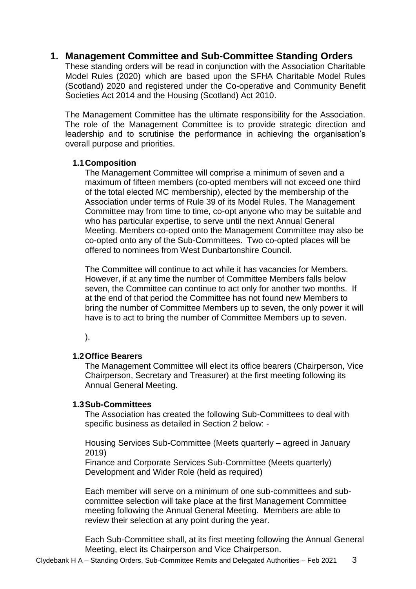# **1. Management Committee and Sub-Committee Standing Orders**

These standing orders will be read in conjunction with the Association Charitable Model Rules (2020) which are based upon the SFHA Charitable Model Rules (Scotland) 2020 and registered under the Co-operative and Community Benefit Societies Act 2014 and the Housing (Scotland) Act 2010.

The Management Committee has the ultimate responsibility for the Association. The role of the Management Committee is to provide strategic direction and leadership and to scrutinise the performance in achieving the organisation's overall purpose and priorities.

#### **1.1Composition**

The Management Committee will comprise a minimum of seven and a maximum of fifteen members (co-opted members will not exceed one third of the total elected MC membership), elected by the membership of the Association under terms of Rule 39 of its Model Rules. The Management Committee may from time to time, co-opt anyone who may be suitable and who has particular expertise, to serve until the next Annual General Meeting. Members co-opted onto the Management Committee may also be co-opted onto any of the Sub-Committees. Two co-opted places will be offered to nominees from West Dunbartonshire Council.

The Committee will continue to act while it has vacancies for Members. However, if at any time the number of Committee Members falls below seven, the Committee can continue to act only for another two months. If at the end of that period the Committee has not found new Members to bring the number of Committee Members up to seven, the only power it will have is to act to bring the number of Committee Members up to seven.

).

### **1.2Office Bearers**

The Management Committee will elect its office bearers (Chairperson, Vice Chairperson, Secretary and Treasurer) at the first meeting following its Annual General Meeting.

### **1.3Sub-Committees**

The Association has created the following Sub-Committees to deal with specific business as detailed in Section 2 below: -

Housing Services Sub-Committee (Meets quarterly – agreed in January 2019)

Finance and Corporate Services Sub-Committee (Meets quarterly) Development and Wider Role (held as required)

Each member will serve on a minimum of one sub-committees and subcommittee selection will take place at the first Management Committee meeting following the Annual General Meeting. Members are able to review their selection at any point during the year.

Each Sub-Committee shall, at its first meeting following the Annual General Meeting, elect its Chairperson and Vice Chairperson.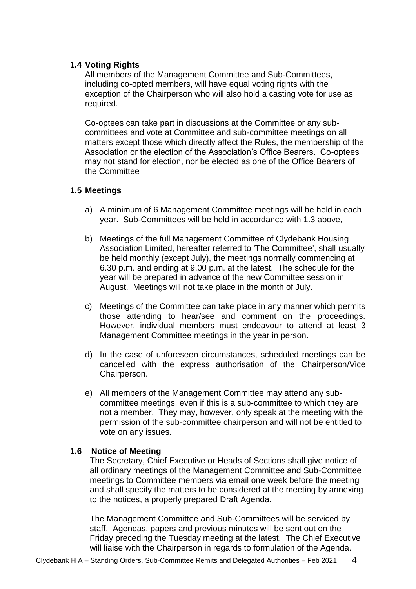#### **1.4 Voting Rights**

All members of the Management Committee and Sub-Committees, including co-opted members, will have equal voting rights with the exception of the Chairperson who will also hold a casting vote for use as required.

Co-optees can take part in discussions at the Committee or any subcommittees and vote at Committee and sub-committee meetings on all matters except those which directly affect the Rules, the membership of the Association or the election of the Association's Office Bearers. Co-optees may not stand for election, nor be elected as one of the Office Bearers of the Committee

#### **1.5 Meetings**

- a) A minimum of 6 Management Committee meetings will be held in each year. Sub-Committees will be held in accordance with 1.3 above,
- b) Meetings of the full Management Committee of Clydebank Housing Association Limited, hereafter referred to 'The Committee', shall usually be held monthly (except July), the meetings normally commencing at 6.30 p.m. and ending at 9.00 p.m. at the latest. The schedule for the year will be prepared in advance of the new Committee session in August. Meetings will not take place in the month of July.
- c) Meetings of the Committee can take place in any manner which permits those attending to hear/see and comment on the proceedings. However, individual members must endeavour to attend at least 3 Management Committee meetings in the year in person.
- d) In the case of unforeseen circumstances, scheduled meetings can be cancelled with the express authorisation of the Chairperson/Vice Chairperson.
- e) All members of the Management Committee may attend any subcommittee meetings, even if this is a sub-committee to which they are not a member. They may, however, only speak at the meeting with the permission of the sub-committee chairperson and will not be entitled to vote on any issues.

#### **1.6 Notice of Meeting**

The Secretary, Chief Executive or Heads of Sections shall give notice of all ordinary meetings of the Management Committee and Sub-Committee meetings to Committee members via email one week before the meeting and shall specify the matters to be considered at the meeting by annexing to the notices, a properly prepared Draft Agenda.

The Management Committee and Sub-Committees will be serviced by staff. Agendas, papers and previous minutes will be sent out on the Friday preceding the Tuesday meeting at the latest. The Chief Executive will liaise with the Chairperson in regards to formulation of the Agenda.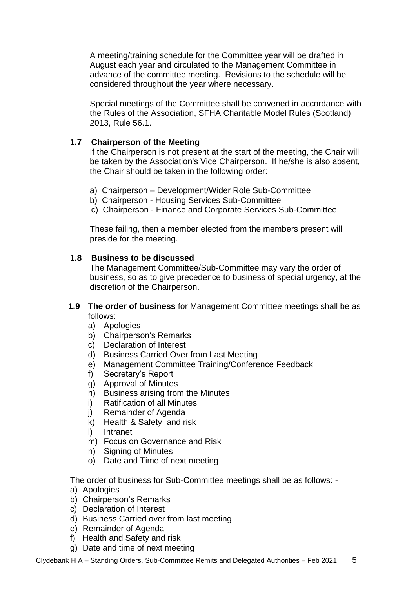A meeting/training schedule for the Committee year will be drafted in August each year and circulated to the Management Committee in advance of the committee meeting. Revisions to the schedule will be considered throughout the year where necessary.

Special meetings of the Committee shall be convened in accordance with the Rules of the Association, SFHA Charitable Model Rules (Scotland) 2013, Rule 56.1.

### **1.7 Chairperson of the Meeting**

If the Chairperson is not present at the start of the meeting, the Chair will be taken by the Association's Vice Chairperson. If he/she is also absent, the Chair should be taken in the following order:

- a) Chairperson Development/Wider Role Sub-Committee
- b) Chairperson Housing Services Sub-Committee
- c) Chairperson Finance and Corporate Services Sub-Committee

These failing, then a member elected from the members present will preside for the meeting.

#### **1.8 Business to be discussed**

The Management Committee/Sub-Committee may vary the order of business, so as to give precedence to business of special urgency, at the discretion of the Chairperson.

#### **1.9 The order of business** for Management Committee meetings shall be as follows:

- a) Apologies
- b) Chairperson's Remarks
- c) Declaration of Interest
- d) Business Carried Over from Last Meeting
- e) Management Committee Training/Conference Feedback
- f) Secretary's Report
- g) Approval of Minutes
- h) Business arising from the Minutes
- i) Ratification of all Minutes
- j) Remainder of Agenda
- k) Health & Safety and risk
- l) Intranet
- m) Focus on Governance and Risk
- n) Signing of Minutes
- o) Date and Time of next meeting

The order of business for Sub-Committee meetings shall be as follows: -

- a) Apologies
- b) Chairperson's Remarks
- c) Declaration of Interest
- d) Business Carried over from last meeting
- e) Remainder of Agenda
- f) Health and Safety and risk
- g) Date and time of next meeting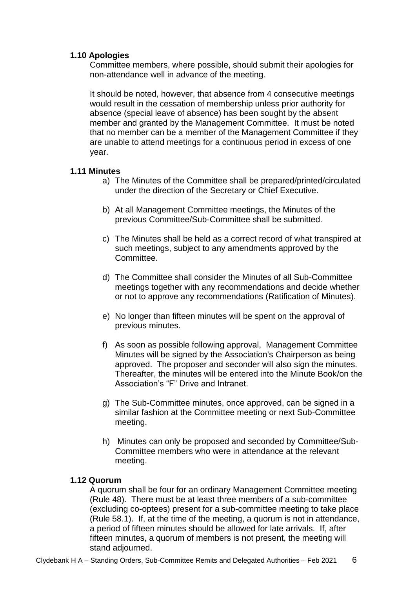### **1.10 Apologies**

Committee members, where possible, should submit their apologies for non-attendance well in advance of the meeting.

It should be noted, however, that absence from 4 consecutive meetings would result in the cessation of membership unless prior authority for absence (special leave of absence) has been sought by the absent member and granted by the Management Committee. It must be noted that no member can be a member of the Management Committee if they are unable to attend meetings for a continuous period in excess of one year.

### **1.11 Minutes**

- a) The Minutes of the Committee shall be prepared/printed/circulated under the direction of the Secretary or Chief Executive.
- b) At all Management Committee meetings, the Minutes of the previous Committee/Sub-Committee shall be submitted.
- c) The Minutes shall be held as a correct record of what transpired at such meetings, subject to any amendments approved by the Committee.
- d) The Committee shall consider the Minutes of all Sub-Committee meetings together with any recommendations and decide whether or not to approve any recommendations (Ratification of Minutes).
- e) No longer than fifteen minutes will be spent on the approval of previous minutes.
- f) As soon as possible following approval, Management Committee Minutes will be signed by the Association's Chairperson as being approved. The proposer and seconder will also sign the minutes. Thereafter, the minutes will be entered into the Minute Book/on the Association's "F" Drive and Intranet.
- g) The Sub-Committee minutes, once approved, can be signed in a similar fashion at the Committee meeting or next Sub-Committee meeting.
- h) Minutes can only be proposed and seconded by Committee/Sub-Committee members who were in attendance at the relevant meeting.

### **1.12 Quorum**

A quorum shall be four for an ordinary Management Committee meeting (Rule 48). There must be at least three members of a sub-committee (excluding co-optees) present for a sub-committee meeting to take place (Rule 58.1). If, at the time of the meeting, a quorum is not in attendance, a period of fifteen minutes should be allowed for late arrivals. If, after fifteen minutes, a quorum of members is not present, the meeting will stand adjourned.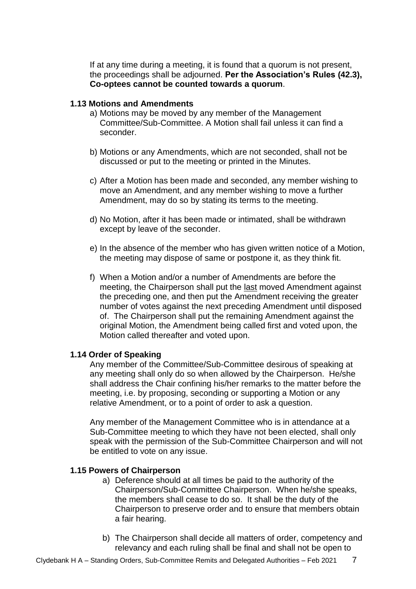If at any time during a meeting, it is found that a quorum is not present, the proceedings shall be adjourned. **Per the Association's Rules (42.3), Co-optees cannot be counted towards a quorum**.

#### **1.13 Motions and Amendments**

- a) Motions may be moved by any member of the Management Committee/Sub-Committee. A Motion shall fail unless it can find a seconder.
- b) Motions or any Amendments, which are not seconded, shall not be discussed or put to the meeting or printed in the Minutes.
- c) After a Motion has been made and seconded, any member wishing to move an Amendment, and any member wishing to move a further Amendment, may do so by stating its terms to the meeting.
- d) No Motion, after it has been made or intimated, shall be withdrawn except by leave of the seconder.
- e) In the absence of the member who has given written notice of a Motion, the meeting may dispose of same or postpone it, as they think fit.
- f) When a Motion and/or a number of Amendments are before the meeting, the Chairperson shall put the last moved Amendment against the preceding one, and then put the Amendment receiving the greater number of votes against the next preceding Amendment until disposed of. The Chairperson shall put the remaining Amendment against the original Motion, the Amendment being called first and voted upon, the Motion called thereafter and voted upon.

#### **1.14 Order of Speaking**

Any member of the Committee/Sub-Committee desirous of speaking at any meeting shall only do so when allowed by the Chairperson. He/she shall address the Chair confining his/her remarks to the matter before the meeting, i.e. by proposing, seconding or supporting a Motion or any relative Amendment, or to a point of order to ask a question.

Any member of the Management Committee who is in attendance at a Sub-Committee meeting to which they have not been elected, shall only speak with the permission of the Sub-Committee Chairperson and will not be entitled to vote on any issue.

### **1.15 Powers of Chairperson**

- a) Deference should at all times be paid to the authority of the Chairperson/Sub-Committee Chairperson. When he/she speaks, the members shall cease to do so. It shall be the duty of the Chairperson to preserve order and to ensure that members obtain a fair hearing.
- b) The Chairperson shall decide all matters of order, competency and relevancy and each ruling shall be final and shall not be open to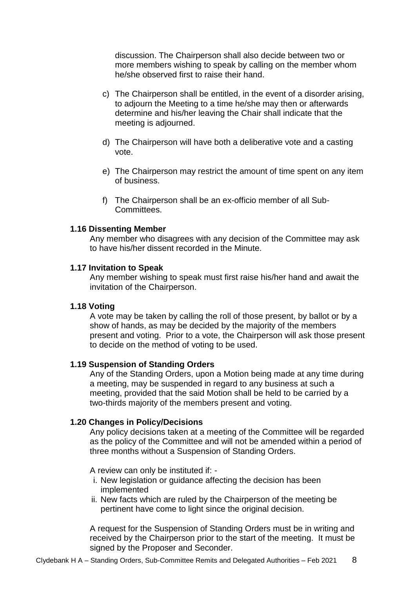discussion. The Chairperson shall also decide between two or more members wishing to speak by calling on the member whom he/she observed first to raise their hand.

- c) The Chairperson shall be entitled, in the event of a disorder arising, to adjourn the Meeting to a time he/she may then or afterwards determine and his/her leaving the Chair shall indicate that the meeting is adjourned.
- d) The Chairperson will have both a deliberative vote and a casting vote.
- e) The Chairperson may restrict the amount of time spent on any item of business.
- f) The Chairperson shall be an ex-officio member of all Sub-Committees.

#### **1.16 Dissenting Member**

Any member who disagrees with any decision of the Committee may ask to have his/her dissent recorded in the Minute.

#### **1.17 Invitation to Speak**

Any member wishing to speak must first raise his/her hand and await the invitation of the Chairperson.

#### **1.18 Voting**

A vote may be taken by calling the roll of those present, by ballot or by a show of hands, as may be decided by the majority of the members present and voting. Prior to a vote, the Chairperson will ask those present to decide on the method of voting to be used.

#### **1.19 Suspension of Standing Orders**

Any of the Standing Orders, upon a Motion being made at any time during a meeting, may be suspended in regard to any business at such a meeting, provided that the said Motion shall be held to be carried by a two-thirds majority of the members present and voting.

#### **1.20 Changes in Policy/Decisions**

Any policy decisions taken at a meeting of the Committee will be regarded as the policy of the Committee and will not be amended within a period of three months without a Suspension of Standing Orders.

A review can only be instituted if: -

- i. New legislation or guidance affecting the decision has been implemented
- ii. New facts which are ruled by the Chairperson of the meeting be pertinent have come to light since the original decision.

A request for the Suspension of Standing Orders must be in writing and received by the Chairperson prior to the start of the meeting. It must be signed by the Proposer and Seconder.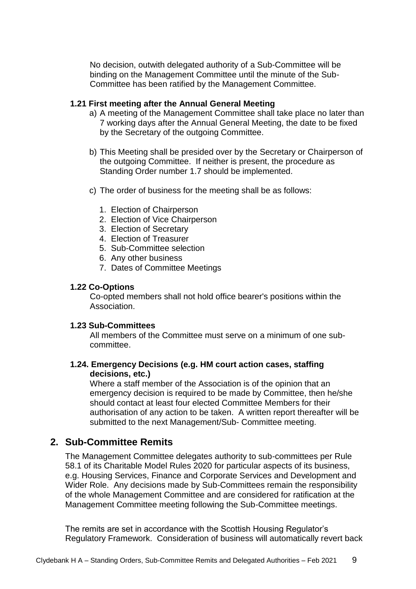No decision, outwith delegated authority of a Sub-Committee will be binding on the Management Committee until the minute of the Sub-Committee has been ratified by the Management Committee.

#### **1.21 First meeting after the Annual General Meeting**

- a) A meeting of the Management Committee shall take place no later than 7 working days after the Annual General Meeting, the date to be fixed by the Secretary of the outgoing Committee.
- b) This Meeting shall be presided over by the Secretary or Chairperson of the outgoing Committee. If neither is present, the procedure as Standing Order number 1.7 should be implemented.
- c) The order of business for the meeting shall be as follows:
	- 1. Election of Chairperson
	- 2. Election of Vice Chairperson
	- 3. Election of Secretary
	- 4. Election of Treasurer
	- 5. Sub-Committee selection
	- 6. Any other business
	- 7. Dates of Committee Meetings

#### **1.22 Co-Options**

Co-opted members shall not hold office bearer's positions within the Association.

#### **1.23 Sub-Committees**

All members of the Committee must serve on a minimum of one subcommittee.

#### **1.24. Emergency Decisions (e.g. HM court action cases, staffing decisions, etc.)**

Where a staff member of the Association is of the opinion that an emergency decision is required to be made by Committee, then he/she should contact at least four elected Committee Members for their authorisation of any action to be taken. A written report thereafter will be submitted to the next Management/Sub- Committee meeting.

# **2. Sub-Committee Remits**

The Management Committee delegates authority to sub-committees per Rule 58.1 of its Charitable Model Rules 2020 for particular aspects of its business, e.g. Housing Services, Finance and Corporate Services and Development and Wider Role. Any decisions made by Sub-Committees remain the responsibility of the whole Management Committee and are considered for ratification at the Management Committee meeting following the Sub-Committee meetings.

The remits are set in accordance with the Scottish Housing Regulator's Regulatory Framework. Consideration of business will automatically revert back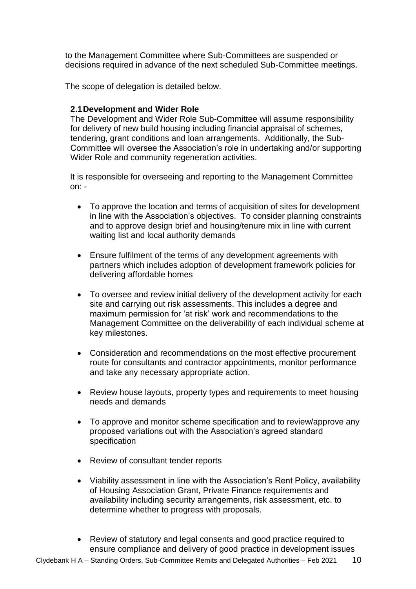to the Management Committee where Sub-Committees are suspended or decisions required in advance of the next scheduled Sub-Committee meetings.

The scope of delegation is detailed below.

### **2.1Development and Wider Role**

The Development and Wider Role Sub-Committee will assume responsibility for delivery of new build housing including financial appraisal of schemes, tendering, grant conditions and loan arrangements. Additionally, the Sub-Committee will oversee the Association's role in undertaking and/or supporting Wider Role and community regeneration activities.

It is responsible for overseeing and reporting to the Management Committee on: -

- To approve the location and terms of acquisition of sites for development in line with the Association's objectives. To consider planning constraints and to approve design brief and housing/tenure mix in line with current waiting list and local authority demands
- Ensure fulfilment of the terms of any development agreements with partners which includes adoption of development framework policies for delivering affordable homes
- To oversee and review initial delivery of the development activity for each site and carrying out risk assessments. This includes a degree and maximum permission for 'at risk' work and recommendations to the Management Committee on the deliverability of each individual scheme at key milestones.
- Consideration and recommendations on the most effective procurement route for consultants and contractor appointments, monitor performance and take any necessary appropriate action.
- Review house layouts, property types and requirements to meet housing needs and demands
- To approve and monitor scheme specification and to review/approve any proposed variations out with the Association's agreed standard specification
- Review of consultant tender reports
- Viability assessment in line with the Association's Rent Policy, availability of Housing Association Grant, Private Finance requirements and availability including security arrangements, risk assessment, etc. to determine whether to progress with proposals.
- Review of statutory and legal consents and good practice required to ensure compliance and delivery of good practice in development issues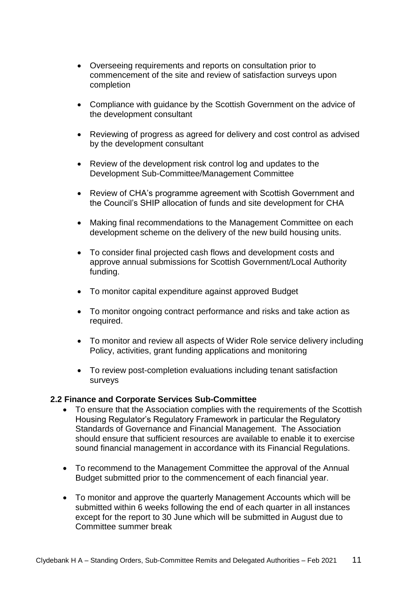- Overseeing requirements and reports on consultation prior to commencement of the site and review of satisfaction surveys upon completion
- Compliance with guidance by the Scottish Government on the advice of the development consultant
- Reviewing of progress as agreed for delivery and cost control as advised by the development consultant
- Review of the development risk control log and updates to the Development Sub-Committee/Management Committee
- Review of CHA's programme agreement with Scottish Government and the Council's SHIP allocation of funds and site development for CHA
- Making final recommendations to the Management Committee on each development scheme on the delivery of the new build housing units.
- To consider final projected cash flows and development costs and approve annual submissions for Scottish Government/Local Authority funding.
- To monitor capital expenditure against approved Budget
- To monitor ongoing contract performance and risks and take action as required.
- To monitor and review all aspects of Wider Role service delivery including Policy, activities, grant funding applications and monitoring
- To review post-completion evaluations including tenant satisfaction surveys

### **2.2 Finance and Corporate Services Sub-Committee**

- To ensure that the Association complies with the requirements of the Scottish Housing Regulator's Regulatory Framework in particular the Regulatory Standards of Governance and Financial Management. The Association should ensure that sufficient resources are available to enable it to exercise sound financial management in accordance with its Financial Regulations.
- To recommend to the Management Committee the approval of the Annual Budget submitted prior to the commencement of each financial year.
- To monitor and approve the quarterly Management Accounts which will be submitted within 6 weeks following the end of each quarter in all instances except for the report to 30 June which will be submitted in August due to Committee summer break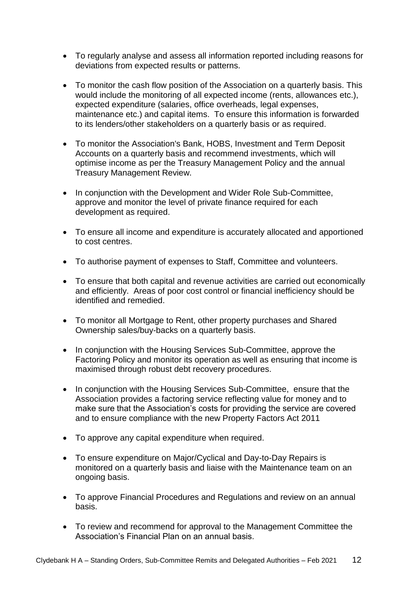- To regularly analyse and assess all information reported including reasons for deviations from expected results or patterns.
- To monitor the cash flow position of the Association on a quarterly basis. This would include the monitoring of all expected income (rents, allowances etc.), expected expenditure (salaries, office overheads, legal expenses, maintenance etc.) and capital items. To ensure this information is forwarded to its lenders/other stakeholders on a quarterly basis or as required.
- To monitor the Association's Bank, HOBS, Investment and Term Deposit Accounts on a quarterly basis and recommend investments, which will optimise income as per the Treasury Management Policy and the annual Treasury Management Review.
- In conjunction with the Development and Wider Role Sub-Committee, approve and monitor the level of private finance required for each development as required.
- To ensure all income and expenditure is accurately allocated and apportioned to cost centres.
- To authorise payment of expenses to Staff, Committee and volunteers.
- To ensure that both capital and revenue activities are carried out economically and efficiently. Areas of poor cost control or financial inefficiency should be identified and remedied.
- To monitor all Mortgage to Rent, other property purchases and Shared Ownership sales/buy-backs on a quarterly basis.
- In conjunction with the Housing Services Sub-Committee, approve the Factoring Policy and monitor its operation as well as ensuring that income is maximised through robust debt recovery procedures.
- In conjunction with the Housing Services Sub-Committee, ensure that the Association provides a factoring service reflecting value for money and to make sure that the Association's costs for providing the service are covered and to ensure compliance with the new Property Factors Act 2011
- To approve any capital expenditure when required.
- To ensure expenditure on Major/Cyclical and Day-to-Day Repairs is monitored on a quarterly basis and liaise with the Maintenance team on an ongoing basis.
- To approve Financial Procedures and Regulations and review on an annual basis.
- To review and recommend for approval to the Management Committee the Association's Financial Plan on an annual basis.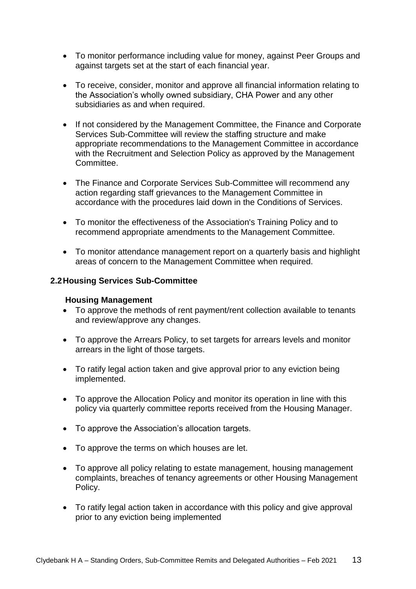- To monitor performance including value for money, against Peer Groups and against targets set at the start of each financial year.
- To receive, consider, monitor and approve all financial information relating to the Association's wholly owned subsidiary, CHA Power and any other subsidiaries as and when required.
- If not considered by the Management Committee, the Finance and Corporate Services Sub-Committee will review the staffing structure and make appropriate recommendations to the Management Committee in accordance with the Recruitment and Selection Policy as approved by the Management Committee.
- The Finance and Corporate Services Sub-Committee will recommend any action regarding staff grievances to the Management Committee in accordance with the procedures laid down in the Conditions of Services.
- To monitor the effectiveness of the Association's Training Policy and to recommend appropriate amendments to the Management Committee.
- To monitor attendance management report on a quarterly basis and highlight areas of concern to the Management Committee when required.

### **2.2Housing Services Sub-Committee**

#### **Housing Management**

- To approve the methods of rent payment/rent collection available to tenants and review/approve any changes.
- To approve the Arrears Policy, to set targets for arrears levels and monitor arrears in the light of those targets.
- To ratify legal action taken and give approval prior to any eviction being implemented.
- To approve the Allocation Policy and monitor its operation in line with this policy via quarterly committee reports received from the Housing Manager.
- To approve the Association's allocation targets.
- To approve the terms on which houses are let.
- To approve all policy relating to estate management, housing management complaints, breaches of tenancy agreements or other Housing Management Policy.
- To ratify legal action taken in accordance with this policy and give approval prior to any eviction being implemented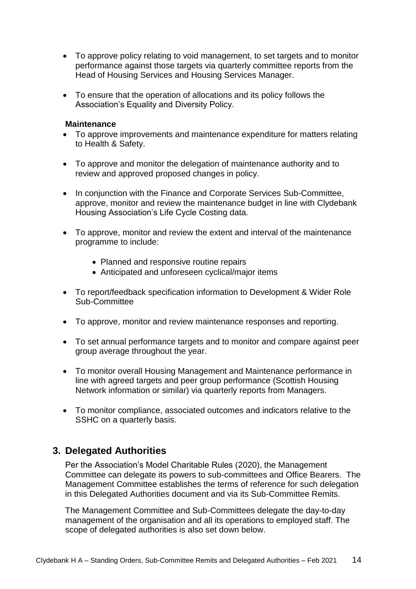- To approve policy relating to void management, to set targets and to monitor performance against those targets via quarterly committee reports from the Head of Housing Services and Housing Services Manager.
- To ensure that the operation of allocations and its policy follows the Association's Equality and Diversity Policy.

#### **Maintenance**

- To approve improvements and maintenance expenditure for matters relating to Health & Safety.
- To approve and monitor the delegation of maintenance authority and to review and approved proposed changes in policy.
- In conjunction with the Finance and Corporate Services Sub-Committee, approve, monitor and review the maintenance budget in line with Clydebank Housing Association's Life Cycle Costing data.
- To approve, monitor and review the extent and interval of the maintenance programme to include:
	- Planned and responsive routine repairs
	- Anticipated and unforeseen cyclical/major items
- To report/feedback specification information to Development & Wider Role Sub-Committee
- To approve, monitor and review maintenance responses and reporting.
- To set annual performance targets and to monitor and compare against peer group average throughout the year.
- To monitor overall Housing Management and Maintenance performance in line with agreed targets and peer group performance (Scottish Housing Network information or similar) via quarterly reports from Managers.
- To monitor compliance, associated outcomes and indicators relative to the SSHC on a quarterly basis.

# **3. Delegated Authorities**

Per the Association's Model Charitable Rules (2020), the Management Committee can delegate its powers to sub-committees and Office Bearers. The Management Committee establishes the terms of reference for such delegation in this Delegated Authorities document and via its Sub-Committee Remits.

The Management Committee and Sub-Committees delegate the day-to-day management of the organisation and all its operations to employed staff. The scope of delegated authorities is also set down below.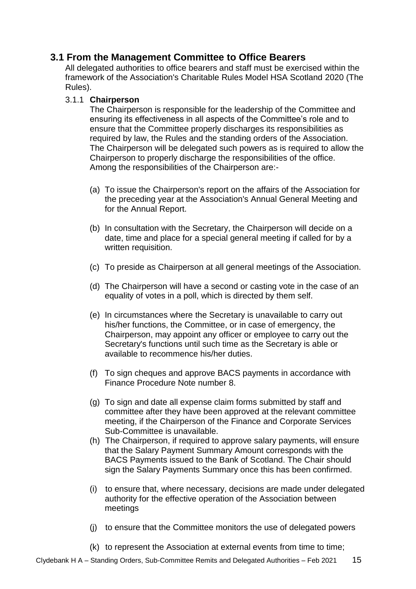# **3.1 From the Management Committee to Office Bearers**

All delegated authorities to office bearers and staff must be exercised within the framework of the Association's Charitable Rules Model HSA Scotland 2020 (The Rules).

## 3.1.1 **Chairperson**

The Chairperson is responsible for the leadership of the Committee and ensuring its effectiveness in all aspects of the Committee's role and to ensure that the Committee properly discharges its responsibilities as required by law, the Rules and the standing orders of the Association. The Chairperson will be delegated such powers as is required to allow the Chairperson to properly discharge the responsibilities of the office. Among the responsibilities of the Chairperson are:-

- (a) To issue the Chairperson's report on the affairs of the Association for the preceding year at the Association's Annual General Meeting and for the Annual Report.
- (b) In consultation with the Secretary, the Chairperson will decide on a date, time and place for a special general meeting if called for by a written requisition.
- (c) To preside as Chairperson at all general meetings of the Association.
- (d) The Chairperson will have a second or casting vote in the case of an equality of votes in a poll, which is directed by them self.
- (e) In circumstances where the Secretary is unavailable to carry out his/her functions, the Committee, or in case of emergency, the Chairperson, may appoint any officer or employee to carry out the Secretary's functions until such time as the Secretary is able or available to recommence his/her duties.
- (f) To sign cheques and approve BACS payments in accordance with Finance Procedure Note number 8.
- (g) To sign and date all expense claim forms submitted by staff and committee after they have been approved at the relevant committee meeting, if the Chairperson of the Finance and Corporate Services Sub-Committee is unavailable.
- (h) The Chairperson, if required to approve salary payments, will ensure that the Salary Payment Summary Amount corresponds with the BACS Payments issued to the Bank of Scotland. The Chair should sign the Salary Payments Summary once this has been confirmed.
- (i) to ensure that, where necessary, decisions are made under delegated authority for the effective operation of the Association between meetings
- (j) to ensure that the Committee monitors the use of delegated powers
- (k) to represent the Association at external events from time to time;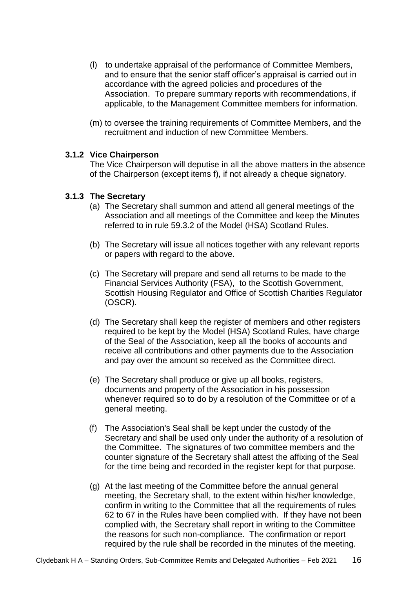- (l) to undertake appraisal of the performance of Committee Members, and to ensure that the senior staff officer's appraisal is carried out in accordance with the agreed policies and procedures of the Association. To prepare summary reports with recommendations, if applicable, to the Management Committee members for information.
- (m) to oversee the training requirements of Committee Members, and the recruitment and induction of new Committee Members.

### **3.1.2 Vice Chairperson**

The Vice Chairperson will deputise in all the above matters in the absence of the Chairperson (except items f), if not already a cheque signatory.

#### **3.1.3 The Secretary**

- (a) The Secretary shall summon and attend all general meetings of the Association and all meetings of the Committee and keep the Minutes referred to in rule 59.3.2 of the Model (HSA) Scotland Rules.
- (b) The Secretary will issue all notices together with any relevant reports or papers with regard to the above.
- (c) The Secretary will prepare and send all returns to be made to the Financial Services Authority (FSA), to the Scottish Government, Scottish Housing Regulator and Office of Scottish Charities Regulator (OSCR).
- (d) The Secretary shall keep the register of members and other registers required to be kept by the Model (HSA) Scotland Rules, have charge of the Seal of the Association, keep all the books of accounts and receive all contributions and other payments due to the Association and pay over the amount so received as the Committee direct.
- (e) The Secretary shall produce or give up all books, registers, documents and property of the Association in his possession whenever required so to do by a resolution of the Committee or of a general meeting.
- (f) The Association's Seal shall be kept under the custody of the Secretary and shall be used only under the authority of a resolution of the Committee. The signatures of two committee members and the counter signature of the Secretary shall attest the affixing of the Seal for the time being and recorded in the register kept for that purpose.
- (g) At the last meeting of the Committee before the annual general meeting, the Secretary shall, to the extent within his/her knowledge, confirm in writing to the Committee that all the requirements of rules 62 to 67 in the Rules have been complied with. If they have not been complied with, the Secretary shall report in writing to the Committee the reasons for such non-compliance. The confirmation or report required by the rule shall be recorded in the minutes of the meeting.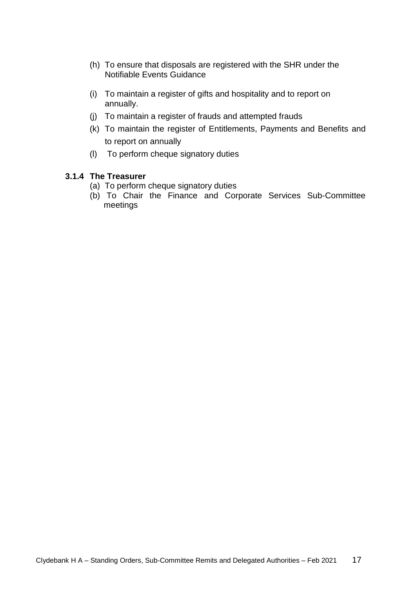- (h) To ensure that disposals are registered with the SHR under the Notifiable Events Guidance
- (i) To maintain a register of gifts and hospitality and to report on annually.
- (j) To maintain a register of frauds and attempted frauds
- (k) To maintain the register of Entitlements, Payments and Benefits and to report on annually
- (l) To perform cheque signatory duties

#### **3.1.4 The Treasurer**

- (a) To perform cheque signatory duties
- (b) To Chair the Finance and Corporate Services Sub-Committee meetings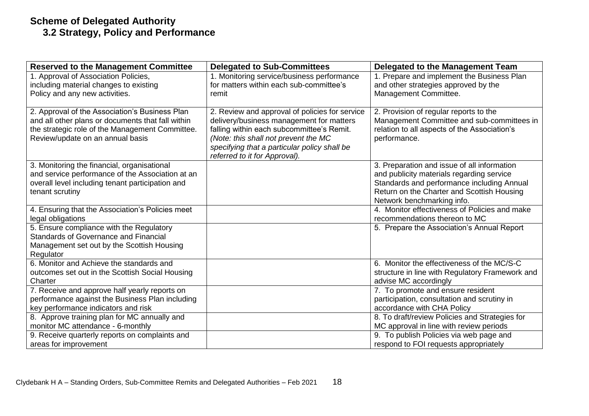# **Scheme of Delegated Authority 3.2 Strategy, Policy and Performance**

| <b>Reserved to the Management Committee</b>                                                          | <b>Delegated to Sub-Committees</b>                                                    | Delegated to the Management Team                                                     |
|------------------------------------------------------------------------------------------------------|---------------------------------------------------------------------------------------|--------------------------------------------------------------------------------------|
| 1. Approval of Association Policies,                                                                 | 1. Monitoring service/business performance                                            | 1. Prepare and implement the Business Plan                                           |
| including material changes to existing                                                               | for matters within each sub-committee's                                               | and other strategies approved by the                                                 |
| Policy and any new activities.                                                                       | remit                                                                                 | Management Committee.                                                                |
|                                                                                                      |                                                                                       |                                                                                      |
| 2. Approval of the Association's Business Plan                                                       | 2. Review and approval of policies for service                                        | 2. Provision of regular reports to the<br>Management Committee and sub-committees in |
| and all other plans or documents that fall within<br>the strategic role of the Management Committee. | delivery/business management for matters<br>falling within each subcommittee's Remit. | relation to all aspects of the Association's                                         |
| Review/update on an annual basis                                                                     | (Note: this shall not prevent the MC                                                  | performance.                                                                         |
|                                                                                                      | specifying that a particular policy shall be                                          |                                                                                      |
|                                                                                                      | referred to it for Approval).                                                         |                                                                                      |
| 3. Monitoring the financial, organisational                                                          |                                                                                       | 3. Preparation and issue of all information                                          |
| and service performance of the Association at an                                                     |                                                                                       | and publicity materials regarding service                                            |
| overall level including tenant participation and                                                     |                                                                                       | Standards and performance including Annual                                           |
| tenant scrutiny                                                                                      |                                                                                       | Return on the Charter and Scottish Housing                                           |
|                                                                                                      |                                                                                       | Network benchmarking info.                                                           |
| 4. Ensuring that the Association's Policies meet                                                     |                                                                                       | 4. Monitor effectiveness of Policies and make                                        |
| legal obligations                                                                                    |                                                                                       | recommendations thereon to MC                                                        |
| 5. Ensure compliance with the Regulatory                                                             |                                                                                       | 5. Prepare the Association's Annual Report                                           |
| <b>Standards of Governance and Financial</b>                                                         |                                                                                       |                                                                                      |
| Management set out by the Scottish Housing<br>Regulator                                              |                                                                                       |                                                                                      |
| 6. Monitor and Achieve the standards and                                                             |                                                                                       | 6. Monitor the effectiveness of the MC/S-C                                           |
| outcomes set out in the Scottish Social Housing                                                      |                                                                                       | structure in line with Regulatory Framework and                                      |
| Charter                                                                                              |                                                                                       | advise MC accordingly                                                                |
| 7. Receive and approve half yearly reports on                                                        |                                                                                       | 7. To promote and ensure resident                                                    |
| performance against the Business Plan including                                                      |                                                                                       | participation, consultation and scrutiny in                                          |
| key performance indicators and risk                                                                  |                                                                                       | accordance with CHA Policy                                                           |
| 8. Approve training plan for MC annually and                                                         |                                                                                       | 8. To draft/review Policies and Strategies for                                       |
| monitor MC attendance - 6-monthly                                                                    |                                                                                       | MC approval in line with review periods                                              |
| 9. Receive quarterly reports on complaints and                                                       |                                                                                       | 9. To publish Policies via web page and                                              |
| areas for improvement                                                                                |                                                                                       | respond to FOI requests appropriately                                                |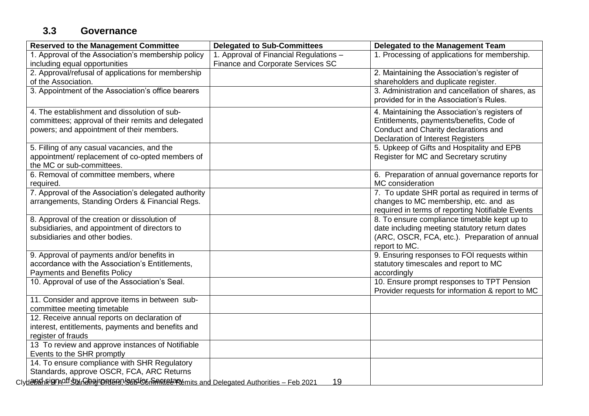# **3.3 Governance**

| <b>Reserved to the Management Committee</b>                                    | <b>Delegated to Sub-Committees</b>     | <b>Delegated to the Management Team</b>          |
|--------------------------------------------------------------------------------|----------------------------------------|--------------------------------------------------|
| 1. Approval of the Association's membership policy                             | 1. Approval of Financial Regulations - | 1. Processing of applications for membership.    |
| including equal opportunities                                                  | Finance and Corporate Services SC      |                                                  |
| 2. Approval/refusal of applications for membership                             |                                        | 2. Maintaining the Association's register of     |
| of the Association.                                                            |                                        | shareholders and duplicate register.             |
| 3. Appointment of the Association's office bearers                             |                                        | 3. Administration and cancellation of shares, as |
|                                                                                |                                        | provided for in the Association's Rules.         |
| 4. The establishment and dissolution of sub-                                   |                                        | 4. Maintaining the Association's registers of    |
| committees; approval of their remits and delegated                             |                                        | Entitlements, payments/benefits, Code of         |
| powers; and appointment of their members.                                      |                                        | Conduct and Charity declarations and             |
|                                                                                |                                        | Declaration of Interest Registers                |
| 5. Filling of any casual vacancies, and the                                    |                                        | 5. Upkeep of Gifts and Hospitality and EPB       |
| appointment/replacement of co-opted members of                                 |                                        | Register for MC and Secretary scrutiny           |
| the MC or sub-committees.                                                      |                                        |                                                  |
| 6. Removal of committee members, where                                         |                                        | 6. Preparation of annual governance reports for  |
| required.                                                                      |                                        | MC consideration                                 |
| 7. Approval of the Association's delegated authority                           |                                        | 7. To update SHR portal as required in terms of  |
| arrangements, Standing Orders & Financial Regs.                                |                                        | changes to MC membership, etc. and as            |
|                                                                                |                                        | required in terms of reporting Notifiable Events |
| 8. Approval of the creation or dissolution of                                  |                                        | 8. To ensure compliance timetable kept up to     |
| subsidiaries, and appointment of directors to                                  |                                        | date including meeting statutory return dates    |
| subsidiaries and other bodies.                                                 |                                        | (ARC, OSCR, FCA, etc.). Preparation of annual    |
|                                                                                |                                        | report to MC.                                    |
| 9. Approval of payments and/or benefits in                                     |                                        | 9. Ensuring responses to FOI requests within     |
| accordance with the Association's Entitlements,                                |                                        | statutory timescales and report to MC            |
| <b>Payments and Benefits Policy</b>                                            |                                        | accordingly                                      |
| 10. Approval of use of the Association's Seal.                                 |                                        | 10. Ensure prompt responses to TPT Pension       |
|                                                                                |                                        | Provider requests for information & report to MC |
| 11. Consider and approve items in between sub-                                 |                                        |                                                  |
| committee meeting timetable                                                    |                                        |                                                  |
| 12. Receive annual reports on declaration of                                   |                                        |                                                  |
| interest, entitlements, payments and benefits and                              |                                        |                                                  |
| register of frauds<br>13 To review and approve instances of Notifiable         |                                        |                                                  |
| Events to the SHR promptly                                                     |                                        |                                                  |
| 14. To ensure compliance with SHR Regulatory                                   |                                        |                                                  |
| Standards, approve OSCR, FCA, ARC Returns                                      |                                        |                                                  |
|                                                                                |                                        |                                                  |
| Clydelban Rigin Auf Standing rom and Compared Telegated Authorities - Feb 2021 |                                        | 19                                               |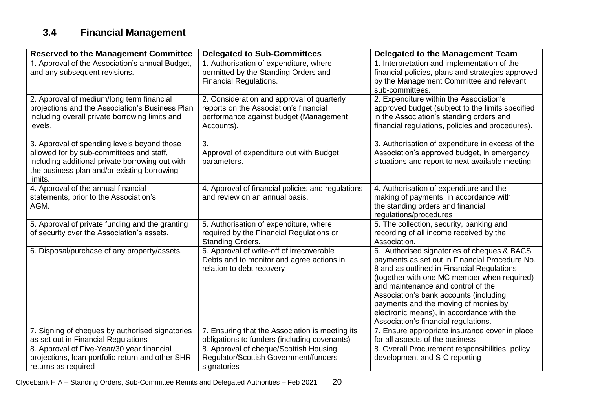# **3.4 Financial Management**

| <b>Reserved to the Management Committee</b>                                                                                                                                                          | <b>Delegated to Sub-Committees</b>                                                                                                           | <b>Delegated to the Management Team</b>                                                                                                                                                                                                                                                                                                                                                                 |
|------------------------------------------------------------------------------------------------------------------------------------------------------------------------------------------------------|----------------------------------------------------------------------------------------------------------------------------------------------|---------------------------------------------------------------------------------------------------------------------------------------------------------------------------------------------------------------------------------------------------------------------------------------------------------------------------------------------------------------------------------------------------------|
| 1. Approval of the Association's annual Budget,<br>and any subsequent revisions.                                                                                                                     | 1. Authorisation of expenditure, where<br>permitted by the Standing Orders and<br><b>Financial Regulations.</b>                              | 1. Interpretation and implementation of the<br>financial policies, plans and strategies approved<br>by the Management Committee and relevant<br>sub-committees.                                                                                                                                                                                                                                         |
| 2. Approval of medium/long term financial<br>projections and the Association's Business Plan<br>including overall private borrowing limits and<br>levels.                                            | 2. Consideration and approval of quarterly<br>reports on the Association's financial<br>performance against budget (Management<br>Accounts). | 2. Expenditure within the Association's<br>approved budget (subject to the limits specified<br>in the Association's standing orders and<br>financial regulations, policies and procedures).                                                                                                                                                                                                             |
| 3. Approval of spending levels beyond those<br>allowed for by sub-committees and staff,<br>including additional private borrowing out with<br>the business plan and/or existing borrowing<br>limits. | 3.<br>Approval of expenditure out with Budget<br>parameters.                                                                                 | 3. Authorisation of expenditure in excess of the<br>Association's approved budget, in emergency<br>situations and report to next available meeting                                                                                                                                                                                                                                                      |
| 4. Approval of the annual financial<br>statements, prior to the Association's<br>AGM.                                                                                                                | 4. Approval of financial policies and regulations<br>and review on an annual basis.                                                          | 4. Authorisation of expenditure and the<br>making of payments, in accordance with<br>the standing orders and financial<br>regulations/procedures                                                                                                                                                                                                                                                        |
| 5. Approval of private funding and the granting<br>of security over the Association's assets.                                                                                                        | 5. Authorisation of expenditure, where<br>required by the Financial Regulations or<br><b>Standing Orders.</b>                                | 5. The collection, security, banking and<br>recording of all income received by the<br>Association.                                                                                                                                                                                                                                                                                                     |
| 6. Disposal/purchase of any property/assets.                                                                                                                                                         | 6. Approval of write-off of irrecoverable<br>Debts and to monitor and agree actions in<br>relation to debt recovery                          | 6. Authorised signatories of cheques & BACS<br>payments as set out in Financial Procedure No.<br>8 and as outlined in Financial Regulations<br>(together with one MC member when required)<br>and maintenance and control of the<br>Association's bank accounts (including<br>payments and the moving of monies by<br>electronic means), in accordance with the<br>Association's financial regulations. |
| 7. Signing of cheques by authorised signatories                                                                                                                                                      | 7. Ensuring that the Association is meeting its                                                                                              | 7. Ensure appropriate insurance cover in place                                                                                                                                                                                                                                                                                                                                                          |
| as set out in Financial Regulations                                                                                                                                                                  | obligations to funders (including covenants)                                                                                                 | for all aspects of the business                                                                                                                                                                                                                                                                                                                                                                         |
| 8. Approval of Five-Year/30 year financial                                                                                                                                                           | 8. Approval of cheque/Scottish Housing                                                                                                       | 8. Overall Procurement responsibilities, policy                                                                                                                                                                                                                                                                                                                                                         |
| projections, loan portfolio return and other SHR                                                                                                                                                     | Regulator/Scottish Government/funders                                                                                                        | development and S-C reporting                                                                                                                                                                                                                                                                                                                                                                           |
| returns as required                                                                                                                                                                                  | signatories                                                                                                                                  |                                                                                                                                                                                                                                                                                                                                                                                                         |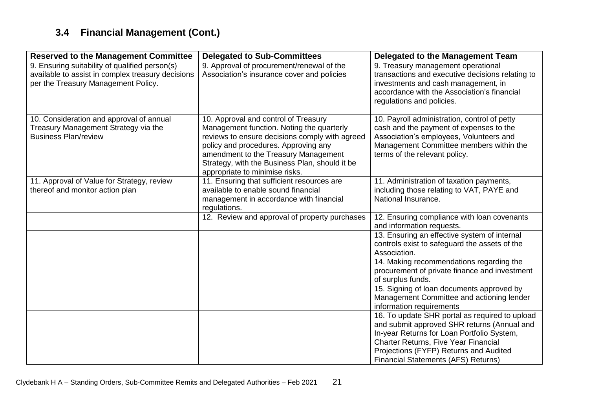# **3.4 Financial Management (Cont.)**

| <b>Reserved to the Management Committee</b>                                                                                                | <b>Delegated to Sub-Committees</b>                                                                                                                                                                                                                                                                      | Delegated to the Management Team                                                                                                                                                                               |
|--------------------------------------------------------------------------------------------------------------------------------------------|---------------------------------------------------------------------------------------------------------------------------------------------------------------------------------------------------------------------------------------------------------------------------------------------------------|----------------------------------------------------------------------------------------------------------------------------------------------------------------------------------------------------------------|
| 9. Ensuring suitability of qualified person(s)<br>available to assist in complex treasury decisions<br>per the Treasury Management Policy. | 9. Approval of procurement/renewal of the<br>Association's insurance cover and policies                                                                                                                                                                                                                 | 9. Treasury management operational<br>transactions and executive decisions relating to<br>investments and cash management, in<br>accordance with the Association's financial<br>regulations and policies.      |
| 10. Consideration and approval of annual<br>Treasury Management Strategy via the<br><b>Business Plan/review</b>                            | 10. Approval and control of Treasury<br>Management function. Noting the quarterly<br>reviews to ensure decisions comply with agreed<br>policy and procedures. Approving any<br>amendment to the Treasury Management<br>Strategy, with the Business Plan, should it be<br>appropriate to minimise risks. | 10. Payroll administration, control of petty<br>cash and the payment of expenses to the<br>Association's employees, Volunteers and<br>Management Committee members within the<br>terms of the relevant policy. |
| 11. Approval of Value for Strategy, review<br>thereof and monitor action plan                                                              | 11. Ensuring that sufficient resources are<br>available to enable sound financial<br>management in accordance with financial<br>regulations.                                                                                                                                                            | 11. Administration of taxation payments,<br>including those relating to VAT, PAYE and<br>National Insurance.                                                                                                   |
|                                                                                                                                            | 12. Review and approval of property purchases                                                                                                                                                                                                                                                           | 12. Ensuring compliance with loan covenants<br>and information requests.                                                                                                                                       |
|                                                                                                                                            |                                                                                                                                                                                                                                                                                                         | 13. Ensuring an effective system of internal<br>controls exist to safeguard the assets of the<br>Association.                                                                                                  |
|                                                                                                                                            |                                                                                                                                                                                                                                                                                                         | 14. Making recommendations regarding the<br>procurement of private finance and investment<br>of surplus funds.                                                                                                 |
|                                                                                                                                            |                                                                                                                                                                                                                                                                                                         | 15. Signing of loan documents approved by<br>Management Committee and actioning lender<br>information requirements                                                                                             |
|                                                                                                                                            |                                                                                                                                                                                                                                                                                                         | 16. To update SHR portal as required to upload<br>and submit approved SHR returns (Annual and<br>In-year Returns for Loan Portfolio System,                                                                    |
|                                                                                                                                            |                                                                                                                                                                                                                                                                                                         | Charter Returns, Five Year Financial<br>Projections (FYFP) Returns and Audited<br><b>Financial Statements (AFS) Returns)</b>                                                                                   |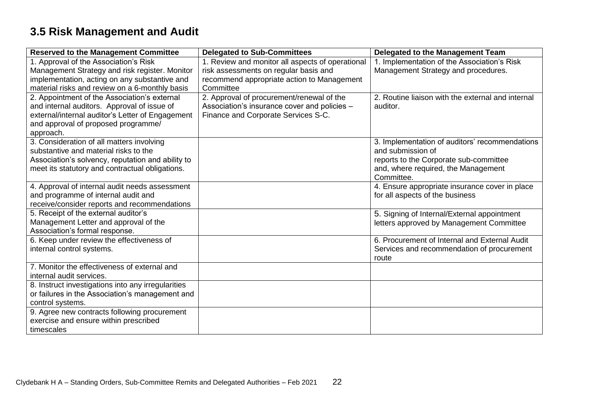# **3.5 Risk Management and Audit**

| <b>Reserved to the Management Committee</b>                                           | <b>Delegated to Sub-Committees</b>               | Delegated to the Management Team                                                  |
|---------------------------------------------------------------------------------------|--------------------------------------------------|-----------------------------------------------------------------------------------|
| 1. Approval of the Association's Risk                                                 | 1. Review and monitor all aspects of operational | 1. Implementation of the Association's Risk                                       |
| Management Strategy and risk register. Monitor                                        | risk assessments on regular basis and            | Management Strategy and procedures.                                               |
| implementation, acting on any substantive and                                         | recommend appropriate action to Management       |                                                                                   |
| material risks and review on a 6-monthly basis                                        | Committee                                        |                                                                                   |
| 2. Appointment of the Association's external                                          | 2. Approval of procurement/renewal of the        | 2. Routine liaison with the external and internal                                 |
| and internal auditors. Approval of issue of                                           | Association's insurance cover and policies -     | auditor.                                                                          |
| external/internal auditor's Letter of Engagement                                      | Finance and Corporate Services S-C.              |                                                                                   |
| and approval of proposed programme/                                                   |                                                  |                                                                                   |
| approach.                                                                             |                                                  |                                                                                   |
| 3. Consideration of all matters involving                                             |                                                  | 3. Implementation of auditors' recommendations                                    |
| substantive and material risks to the                                                 |                                                  | and submission of                                                                 |
| Association's solvency, reputation and ability to                                     |                                                  | reports to the Corporate sub-committee                                            |
| meet its statutory and contractual obligations.                                       |                                                  | and, where required, the Management<br>Committee.                                 |
|                                                                                       |                                                  |                                                                                   |
| 4. Approval of internal audit needs assessment<br>and programme of internal audit and |                                                  | 4. Ensure appropriate insurance cover in place<br>for all aspects of the business |
| receive/consider reports and recommendations                                          |                                                  |                                                                                   |
| 5. Receipt of the external auditor's                                                  |                                                  | 5. Signing of Internal/External appointment                                       |
| Management Letter and approval of the                                                 |                                                  | letters approved by Management Committee                                          |
| Association's formal response.                                                        |                                                  |                                                                                   |
| 6. Keep under review the effectiveness of                                             |                                                  | 6. Procurement of Internal and External Audit                                     |
| internal control systems.                                                             |                                                  | Services and recommendation of procurement                                        |
|                                                                                       |                                                  | route                                                                             |
| 7. Monitor the effectiveness of external and                                          |                                                  |                                                                                   |
| internal audit services.                                                              |                                                  |                                                                                   |
| 8. Instruct investigations into any irregularities                                    |                                                  |                                                                                   |
| or failures in the Association's management and                                       |                                                  |                                                                                   |
| control systems.                                                                      |                                                  |                                                                                   |
| 9. Agree new contracts following procurement                                          |                                                  |                                                                                   |
| exercise and ensure within prescribed                                                 |                                                  |                                                                                   |
| timescales                                                                            |                                                  |                                                                                   |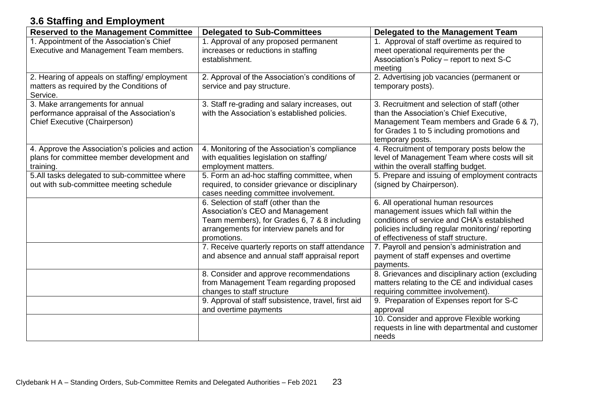# **3.6 Staffing and Employment**

| <b>Reserved to the Management Committee</b>                                                                    | <b>Delegated to Sub-Committees</b>                                                                                                                                                    | <b>Delegated to the Management Team</b>                                                                                                                                                                                  |
|----------------------------------------------------------------------------------------------------------------|---------------------------------------------------------------------------------------------------------------------------------------------------------------------------------------|--------------------------------------------------------------------------------------------------------------------------------------------------------------------------------------------------------------------------|
| 1. Appointment of the Association's Chief<br>Executive and Management Team members.                            | 1. Approval of any proposed permanent<br>increases or reductions in staffing<br>establishment.                                                                                        | 1. Approval of staff overtime as required to<br>meet operational requirements per the<br>Association's Policy - report to next S-C<br>meeting                                                                            |
| 2. Hearing of appeals on staffing/employment<br>matters as required by the Conditions of<br>Service.           | 2. Approval of the Association's conditions of<br>service and pay structure.                                                                                                          | 2. Advertising job vacancies (permanent or<br>temporary posts).                                                                                                                                                          |
| 3. Make arrangements for annual<br>performance appraisal of the Association's<br>Chief Executive (Chairperson) | 3. Staff re-grading and salary increases, out<br>with the Association's established policies.                                                                                         | 3. Recruitment and selection of staff (other<br>than the Association's Chief Executive,<br>Management Team members and Grade 6 & 7),<br>for Grades 1 to 5 including promotions and<br>temporary posts.                   |
| 4. Approve the Association's policies and action<br>plans for committee member development and<br>training.    | 4. Monitoring of the Association's compliance<br>with equalities legislation on staffing/<br>employment matters.                                                                      | 4. Recruitment of temporary posts below the<br>level of Management Team where costs will sit<br>within the overall staffing budget.                                                                                      |
| 5.All tasks delegated to sub-committee where<br>out with sub-committee meeting schedule                        | 5. Form an ad-hoc staffing committee, when<br>required, to consider grievance or disciplinary<br>cases needing committee involvement.                                                 | 5. Prepare and issuing of employment contracts<br>(signed by Chairperson).                                                                                                                                               |
|                                                                                                                | 6. Selection of staff (other than the<br>Association's CEO and Management<br>Team members), for Grades 6, 7 & 8 including<br>arrangements for interview panels and for<br>promotions. | 6. All operational human resources<br>management issues which fall within the<br>conditions of service and CHA's established<br>policies including regular monitoring/ reporting<br>of effectiveness of staff structure. |
|                                                                                                                | 7. Receive quarterly reports on staff attendance<br>and absence and annual staff appraisal report                                                                                     | 7. Payroll and pension's administration and<br>payment of staff expenses and overtime<br>payments.                                                                                                                       |
|                                                                                                                | 8. Consider and approve recommendations<br>from Management Team regarding proposed<br>changes to staff structure                                                                      | 8. Grievances and disciplinary action (excluding<br>matters relating to the CE and individual cases<br>requiring committee involvement).                                                                                 |
|                                                                                                                | 9. Approval of staff subsistence, travel, first aid<br>and overtime payments                                                                                                          | 9. Preparation of Expenses report for S-C<br>approval                                                                                                                                                                    |
|                                                                                                                |                                                                                                                                                                                       | 10. Consider and approve Flexible working<br>requests in line with departmental and customer<br>needs                                                                                                                    |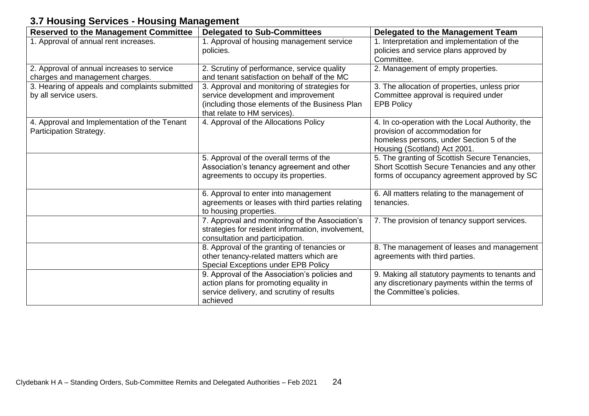# **3.7 Housing Services - Housing Management**

| <b>Reserved to the Management Committee</b>                                   | <b>Delegated to Sub-Committees</b>                                                                                                                                    | Delegated to the Management Team                                                                                                                               |
|-------------------------------------------------------------------------------|-----------------------------------------------------------------------------------------------------------------------------------------------------------------------|----------------------------------------------------------------------------------------------------------------------------------------------------------------|
| 1. Approval of annual rent increases.                                         | 1. Approval of housing management service<br>policies.                                                                                                                | 1. Interpretation and implementation of the<br>policies and service plans approved by<br>Committee.                                                            |
| 2. Approval of annual increases to service<br>charges and management charges. | 2. Scrutiny of performance, service quality<br>and tenant satisfaction on behalf of the MC                                                                            | 2. Management of empty properties.                                                                                                                             |
| 3. Hearing of appeals and complaints submitted<br>by all service users.       | 3. Approval and monitoring of strategies for<br>service development and improvement<br>(including those elements of the Business Plan<br>that relate to HM services). | 3. The allocation of properties, unless prior<br>Committee approval is required under<br><b>EPB Policy</b>                                                     |
| 4. Approval and Implementation of the Tenant<br>Participation Strategy.       | 4. Approval of the Allocations Policy                                                                                                                                 | 4. In co-operation with the Local Authority, the<br>provision of accommodation for<br>homeless persons, under Section 5 of the<br>Housing (Scotland) Act 2001. |
|                                                                               | 5. Approval of the overall terms of the<br>Association's tenancy agreement and other<br>agreements to occupy its properties.                                          | 5. The granting of Scottish Secure Tenancies,<br>Short Scottish Secure Tenancies and any other<br>forms of occupancy agreement approved by SC                  |
|                                                                               | 6. Approval to enter into management<br>agreements or leases with third parties relating<br>to housing properties.                                                    | 6. All matters relating to the management of<br>tenancies.                                                                                                     |
|                                                                               | 7. Approval and monitoring of the Association's<br>strategies for resident information, involvement,<br>consultation and participation.                               | 7. The provision of tenancy support services.                                                                                                                  |
|                                                                               | 8. Approval of the granting of tenancies or<br>other tenancy-related matters which are<br>Special Exceptions under EPB Policy                                         | 8. The management of leases and management<br>agreements with third parties.                                                                                   |
|                                                                               | 9. Approval of the Association's policies and<br>action plans for promoting equality in<br>service delivery, and scrutiny of results<br>achieved                      | 9. Making all statutory payments to tenants and<br>any discretionary payments within the terms of<br>the Committee's policies.                                 |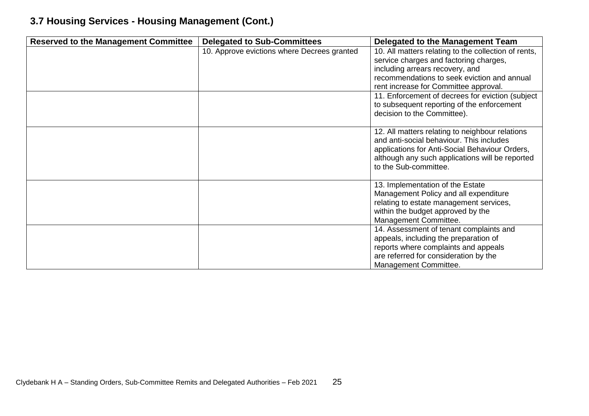# **3.7 Housing Services - Housing Management (Cont.)**

| <b>Reserved to the Management Committee</b> | <b>Delegated to Sub-Committees</b>          | <b>Delegated to the Management Team</b>              |
|---------------------------------------------|---------------------------------------------|------------------------------------------------------|
|                                             | 10. Approve evictions where Decrees granted | 10. All matters relating to the collection of rents, |
|                                             |                                             | service charges and factoring charges,               |
|                                             |                                             | including arrears recovery, and                      |
|                                             |                                             | recommendations to seek eviction and annual          |
|                                             |                                             | rent increase for Committee approval.                |
|                                             |                                             | 11. Enforcement of decrees for eviction (subject     |
|                                             |                                             | to subsequent reporting of the enforcement           |
|                                             |                                             | decision to the Committee).                          |
|                                             |                                             |                                                      |
|                                             |                                             | 12. All matters relating to neighbour relations      |
|                                             |                                             | and anti-social behaviour. This includes             |
|                                             |                                             | applications for Anti-Social Behaviour Orders,       |
|                                             |                                             | although any such applications will be reported      |
|                                             |                                             | to the Sub-committee.                                |
|                                             |                                             |                                                      |
|                                             |                                             | 13. Implementation of the Estate                     |
|                                             |                                             | Management Policy and all expenditure                |
|                                             |                                             | relating to estate management services,              |
|                                             |                                             | within the budget approved by the                    |
|                                             |                                             | Management Committee.                                |
|                                             |                                             | 14. Assessment of tenant complaints and              |
|                                             |                                             | appeals, including the preparation of                |
|                                             |                                             | reports where complaints and appeals                 |
|                                             |                                             | are referred for consideration by the                |
|                                             |                                             | Management Committee.                                |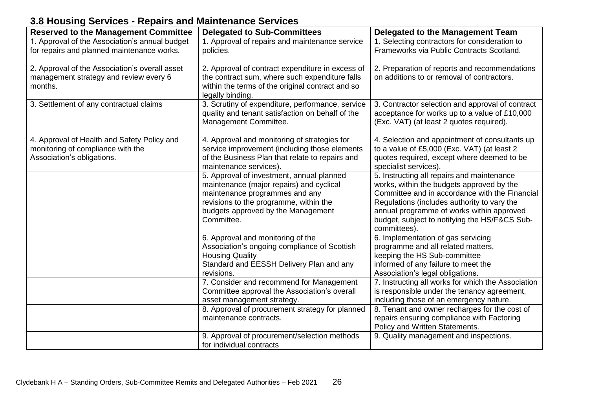# **3.8 Housing Services - Repairs and Maintenance Services**

| <b>Reserved to the Management Committee</b>                                                                    | <b>Delegated to Sub-Committees</b>                                                                                                                                                                                    | Delegated to the Management Team                                                                                                                                                                                                                                                                       |
|----------------------------------------------------------------------------------------------------------------|-----------------------------------------------------------------------------------------------------------------------------------------------------------------------------------------------------------------------|--------------------------------------------------------------------------------------------------------------------------------------------------------------------------------------------------------------------------------------------------------------------------------------------------------|
| 1. Approval of the Association's annual budget<br>for repairs and planned maintenance works.                   | 1. Approval of repairs and maintenance service<br>policies.                                                                                                                                                           | 1. Selecting contractors for consideration to<br>Frameworks via Public Contracts Scotland.                                                                                                                                                                                                             |
| 2. Approval of the Association's overall asset<br>management strategy and review every 6<br>months.            | 2. Approval of contract expenditure in excess of<br>the contract sum, where such expenditure falls<br>within the terms of the original contract and so<br>legally binding.                                            | 2. Preparation of reports and recommendations<br>on additions to or removal of contractors.                                                                                                                                                                                                            |
| 3. Settlement of any contractual claims                                                                        | 3. Scrutiny of expenditure, performance, service<br>quality and tenant satisfaction on behalf of the<br>Management Committee.                                                                                         | 3. Contractor selection and approval of contract<br>acceptance for works up to a value of £10,000<br>(Exc. VAT) (at least 2 quotes required).                                                                                                                                                          |
| 4. Approval of Health and Safety Policy and<br>monitoring of compliance with the<br>Association's obligations. | 4. Approval and monitoring of strategies for<br>service improvement (including those elements<br>of the Business Plan that relate to repairs and<br>maintenance services).                                            | 4. Selection and appointment of consultants up<br>to a value of £5,000 (Exc. VAT) (at least 2<br>quotes required, except where deemed to be<br>specialist services).                                                                                                                                   |
|                                                                                                                | 5. Approval of investment, annual planned<br>maintenance (major repairs) and cyclical<br>maintenance programmes and any<br>revisions to the programme, within the<br>budgets approved by the Management<br>Committee. | 5. Instructing all repairs and maintenance<br>works, within the budgets approved by the<br>Committee and in accordance with the Financial<br>Regulations (includes authority to vary the<br>annual programme of works within approved<br>budget, subject to notifying the HS/F&CS Sub-<br>committees). |
|                                                                                                                | 6. Approval and monitoring of the<br>Association's ongoing compliance of Scottish<br><b>Housing Quality</b><br>Standard and EESSH Delivery Plan and any<br>revisions.                                                 | 6. Implementation of gas servicing<br>programme and all related matters,<br>keeping the HS Sub-committee<br>informed of any failure to meet the<br>Association's legal obligations.                                                                                                                    |
|                                                                                                                | 7. Consider and recommend for Management<br>Committee approval the Association's overall<br>asset management strategy.                                                                                                | 7. Instructing all works for which the Association<br>is responsible under the tenancy agreement,<br>including those of an emergency nature.                                                                                                                                                           |
|                                                                                                                | 8. Approval of procurement strategy for planned<br>maintenance contracts.                                                                                                                                             | 8. Tenant and owner recharges for the cost of<br>repairs ensuring compliance with Factoring<br>Policy and Written Statements.                                                                                                                                                                          |
|                                                                                                                | 9. Approval of procurement/selection methods<br>for individual contracts                                                                                                                                              | 9. Quality management and inspections.                                                                                                                                                                                                                                                                 |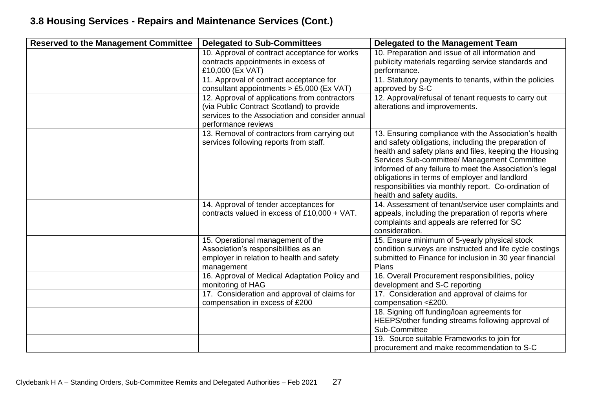# **3.8 Housing Services - Repairs and Maintenance Services (Cont.)**

| <b>Reserved to the Management Committee</b> | <b>Delegated to Sub-Committees</b>                                                                                                   | Delegated to the Management Team                                                                                                                                                                                                                                                                                                    |
|---------------------------------------------|--------------------------------------------------------------------------------------------------------------------------------------|-------------------------------------------------------------------------------------------------------------------------------------------------------------------------------------------------------------------------------------------------------------------------------------------------------------------------------------|
|                                             | 10. Approval of contract acceptance for works                                                                                        | 10. Preparation and issue of all information and                                                                                                                                                                                                                                                                                    |
|                                             | contracts appointments in excess of                                                                                                  | publicity materials regarding service standards and                                                                                                                                                                                                                                                                                 |
|                                             | £10,000 (Ex VAT)                                                                                                                     | performance.                                                                                                                                                                                                                                                                                                                        |
|                                             | 11. Approval of contract acceptance for<br>consultant appointments $> \pounds 5,000$ (Ex VAT)                                        | 11. Statutory payments to tenants, within the policies<br>approved by S-C                                                                                                                                                                                                                                                           |
|                                             | 12. Approval of applications from contractors<br>(via Public Contract Scotland) to provide                                           | 12. Approval/refusal of tenant requests to carry out<br>alterations and improvements.                                                                                                                                                                                                                                               |
|                                             | services to the Association and consider annual                                                                                      |                                                                                                                                                                                                                                                                                                                                     |
|                                             | performance reviews                                                                                                                  |                                                                                                                                                                                                                                                                                                                                     |
|                                             | 13. Removal of contractors from carrying out<br>services following reports from staff.                                               | 13. Ensuring compliance with the Association's health<br>and safety obligations, including the preparation of<br>health and safety plans and files, keeping the Housing<br>Services Sub-committee/ Management Committee<br>informed of any failure to meet the Association's legal<br>obligations in terms of employer and landlord |
|                                             |                                                                                                                                      | responsibilities via monthly report. Co-ordination of<br>health and safety audits.                                                                                                                                                                                                                                                  |
|                                             | 14. Approval of tender acceptances for<br>contracts valued in excess of £10,000 + VAT.                                               | 14. Assessment of tenant/service user complaints and<br>appeals, including the preparation of reports where<br>complaints and appeals are referred for SC<br>consideration.                                                                                                                                                         |
|                                             | 15. Operational management of the<br>Association's responsibilities as an<br>employer in relation to health and safety<br>management | 15. Ensure minimum of 5-yearly physical stock<br>condition surveys are instructed and life cycle costings<br>submitted to Finance for inclusion in 30 year financial<br>Plans                                                                                                                                                       |
|                                             | 16. Approval of Medical Adaptation Policy and<br>monitoring of HAG                                                                   | 16. Overall Procurement responsibilities, policy<br>development and S-C reporting                                                                                                                                                                                                                                                   |
|                                             | 17. Consideration and approval of claims for<br>compensation in excess of £200                                                       | 17. Consideration and approval of claims for<br>compensation <£200.                                                                                                                                                                                                                                                                 |
|                                             |                                                                                                                                      | 18. Signing off funding/loan agreements for<br>HEEPS/other funding streams following approval of<br>Sub-Committee                                                                                                                                                                                                                   |
|                                             |                                                                                                                                      | 19. Source suitable Frameworks to join for<br>procurement and make recommendation to S-C                                                                                                                                                                                                                                            |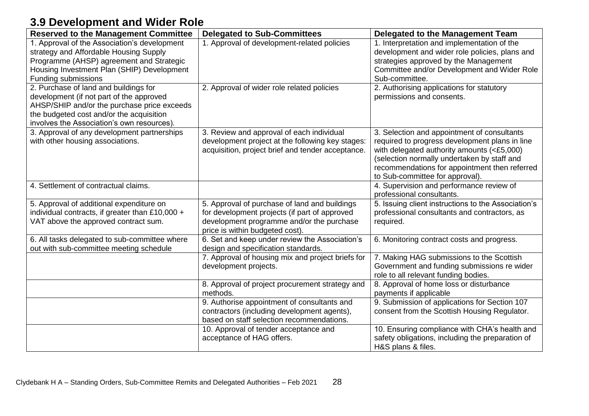# **3.9 Development and Wider Role**

| <b>Reserved to the Management Committee</b>                                                                                                                                                                                | <b>Delegated to Sub-Committees</b>                                                                                                                                             | Delegated to the Management Team                                                                                                                                                                                                                                               |
|----------------------------------------------------------------------------------------------------------------------------------------------------------------------------------------------------------------------------|--------------------------------------------------------------------------------------------------------------------------------------------------------------------------------|--------------------------------------------------------------------------------------------------------------------------------------------------------------------------------------------------------------------------------------------------------------------------------|
| 1. Approval of the Association's development<br>strategy and Affordable Housing Supply<br>Programme (AHSP) agreement and Strategic<br>Housing Investment Plan (SHIP) Development<br>Funding submissions                    | 1. Approval of development-related policies                                                                                                                                    | 1. Interpretation and implementation of the<br>development and wider role policies, plans and<br>strategies approved by the Management<br>Committee and/or Development and Wider Role<br>Sub-committee.                                                                        |
| 2. Purchase of land and buildings for<br>development (if not part of the approved<br>AHSP/SHIP and/or the purchase price exceeds<br>the budgeted cost and/or the acquisition<br>involves the Association's own resources). | 2. Approval of wider role related policies                                                                                                                                     | 2. Authorising applications for statutory<br>permissions and consents.                                                                                                                                                                                                         |
| 3. Approval of any development partnerships<br>with other housing associations.                                                                                                                                            | 3. Review and approval of each individual<br>development project at the following key stages:<br>acquisition, project brief and tender acceptance.                             | 3. Selection and appointment of consultants<br>required to progress development plans in line<br>with delegated authority amounts (<£5,000)<br>(selection normally undertaken by staff and<br>recommendations for appointment then referred<br>to Sub-committee for approval). |
| 4. Settlement of contractual claims.                                                                                                                                                                                       |                                                                                                                                                                                | 4. Supervision and performance review of<br>professional consultants.                                                                                                                                                                                                          |
| 5. Approval of additional expenditure on<br>individual contracts, if greater than £10,000 +<br>VAT above the approved contract sum.                                                                                        | 5. Approval of purchase of land and buildings<br>for development projects (if part of approved<br>development programme and/or the purchase<br>price is within budgeted cost). | 5. Issuing client instructions to the Association's<br>professional consultants and contractors, as<br>required.                                                                                                                                                               |
| 6. All tasks delegated to sub-committee where<br>out with sub-committee meeting schedule                                                                                                                                   | 6. Set and keep under review the Association's<br>design and specification standards.                                                                                          | 6. Monitoring contract costs and progress.                                                                                                                                                                                                                                     |
|                                                                                                                                                                                                                            | 7. Approval of housing mix and project briefs for<br>development projects.                                                                                                     | 7. Making HAG submissions to the Scottish<br>Government and funding submissions re wider<br>role to all relevant funding bodies.                                                                                                                                               |
|                                                                                                                                                                                                                            | 8. Approval of project procurement strategy and<br>methods.                                                                                                                    | 8. Approval of home loss or disturbance<br>payments if applicable                                                                                                                                                                                                              |
|                                                                                                                                                                                                                            | 9. Authorise appointment of consultants and<br>contractors (including development agents),<br>based on staff selection recommendations.                                        | 9. Submission of applications for Section 107<br>consent from the Scottish Housing Regulator.                                                                                                                                                                                  |
|                                                                                                                                                                                                                            | 10. Approval of tender acceptance and<br>acceptance of HAG offers.                                                                                                             | 10. Ensuring compliance with CHA's health and<br>safety obligations, including the preparation of<br>H&S plans & files.                                                                                                                                                        |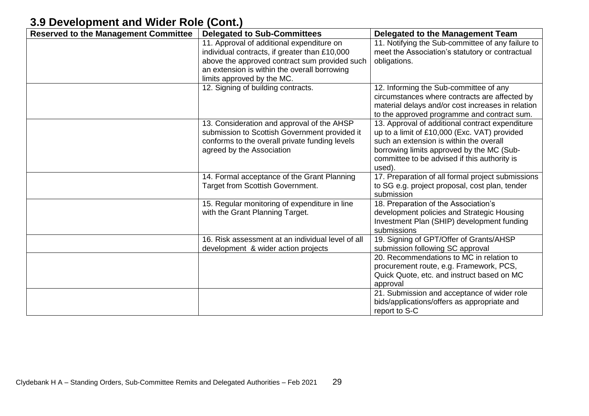# **3.9 Development and Wider Role (Cont.)**

| <b>Reserved to the Management Committee</b> | <b>Delegated to Sub-Committees</b>                | <b>Delegated to the Management Team</b>           |
|---------------------------------------------|---------------------------------------------------|---------------------------------------------------|
|                                             | 11. Approval of additional expenditure on         | 11. Notifying the Sub-committee of any failure to |
|                                             | individual contracts, if greater than £10,000     | meet the Association's statutory or contractual   |
|                                             | above the approved contract sum provided such     | obligations.                                      |
|                                             | an extension is within the overall borrowing      |                                                   |
|                                             | limits approved by the MC.                        |                                                   |
|                                             | 12. Signing of building contracts.                | 12. Informing the Sub-committee of any            |
|                                             |                                                   | circumstances where contracts are affected by     |
|                                             |                                                   | material delays and/or cost increases in relation |
|                                             |                                                   | to the approved programme and contract sum.       |
|                                             | 13. Consideration and approval of the AHSP        | 13. Approval of additional contract expenditure   |
|                                             | submission to Scottish Government provided it     | up to a limit of £10,000 (Exc. VAT) provided      |
|                                             | conforms to the overall private funding levels    | such an extension is within the overall           |
|                                             | agreed by the Association                         | borrowing limits approved by the MC (Sub-         |
|                                             |                                                   | committee to be advised if this authority is      |
|                                             |                                                   | used).                                            |
|                                             | 14. Formal acceptance of the Grant Planning       | 17. Preparation of all formal project submissions |
|                                             | Target from Scottish Government.                  | to SG e.g. project proposal, cost plan, tender    |
|                                             |                                                   | submission                                        |
|                                             | 15. Regular monitoring of expenditure in line     | 18. Preparation of the Association's              |
|                                             | with the Grant Planning Target.                   | development policies and Strategic Housing        |
|                                             |                                                   | Investment Plan (SHIP) development funding        |
|                                             |                                                   | submissions                                       |
|                                             | 16. Risk assessment at an individual level of all | 19. Signing of GPT/Offer of Grants/AHSP           |
|                                             | development & wider action projects               | submission following SC approval                  |
|                                             |                                                   | 20. Recommendations to MC in relation to          |
|                                             |                                                   | procurement route, e.g. Framework, PCS,           |
|                                             |                                                   | Quick Quote, etc. and instruct based on MC        |
|                                             |                                                   | approval                                          |
|                                             |                                                   | 21. Submission and acceptance of wider role       |
|                                             |                                                   | bids/applications/offers as appropriate and       |
|                                             |                                                   | report to S-C                                     |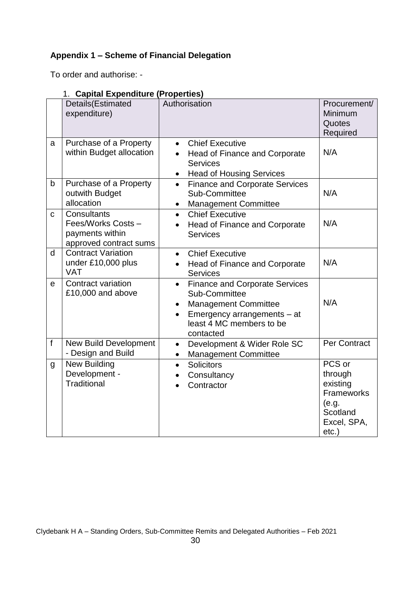# **Appendix 1 – Scheme of Financial Delegation**

To order and authorise: -

## 1. **Capital Expenditure (Properties)**

|              | Details(Estimated<br>expenditure)                                              | Authorisation                                                                                                                                                                                        | Procurement/<br>Minimum<br>Quotes<br>Required                                               |
|--------------|--------------------------------------------------------------------------------|------------------------------------------------------------------------------------------------------------------------------------------------------------------------------------------------------|---------------------------------------------------------------------------------------------|
| a            | Purchase of a Property<br>within Budget allocation                             | <b>Chief Executive</b><br>$\bullet$<br>Head of Finance and Corporate<br><b>Services</b><br><b>Head of Housing Services</b><br>$\bullet$                                                              | N/A                                                                                         |
| b            | Purchase of a Property<br>outwith Budget<br>allocation                         | <b>Finance and Corporate Services</b><br>$\bullet$<br>Sub-Committee<br><b>Management Committee</b><br>$\bullet$                                                                                      | N/A                                                                                         |
| $\mathbf{C}$ | Consultants<br>Fees/Works Costs -<br>payments within<br>approved contract sums | <b>Chief Executive</b><br>$\bullet$<br>Head of Finance and Corporate<br>$\bullet$<br><b>Services</b>                                                                                                 | N/A                                                                                         |
| d            | <b>Contract Variation</b><br>under £10,000 plus<br><b>VAT</b>                  | <b>Chief Executive</b><br>$\bullet$<br>Head of Finance and Corporate<br>$\bullet$<br><b>Services</b>                                                                                                 | N/A                                                                                         |
| e            | Contract variation<br>£10,000 and above                                        | <b>Finance and Corporate Services</b><br>$\bullet$<br>Sub-Committee<br><b>Management Committee</b><br>$\bullet$<br>Emergency arrangements - at<br>$\bullet$<br>least 4 MC members to be<br>contacted | N/A                                                                                         |
| f            | <b>New Build Development</b><br>- Design and Build                             | Development & Wider Role SC<br>$\bullet$<br><b>Management Committee</b><br>$\bullet$                                                                                                                 | Per Contract                                                                                |
| g            | <b>New Building</b><br>Development -<br><b>Traditional</b>                     | <b>Solicitors</b><br>$\bullet$<br>Consultancy<br>Contractor                                                                                                                                          | PCS or<br>through<br>existing<br>Frameworks<br>(e.g.<br>Scotland<br>Excel, SPA,<br>$etc.$ ) |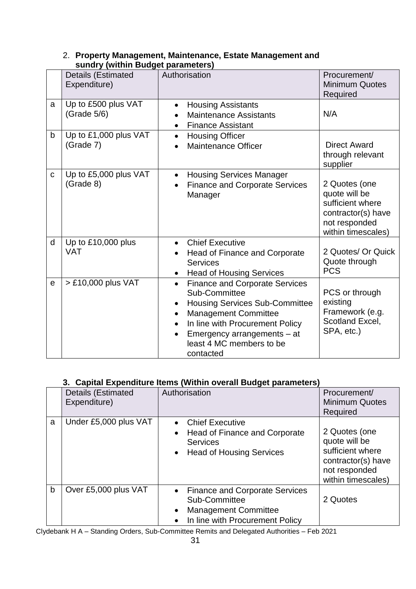|   | Details (Estimated<br>Expenditure) | Paramonal<br>Authorisation                                                                                                                                                                                                                                                                                 | Procurement/<br><b>Minimum Quotes</b><br>Required                                                               |
|---|------------------------------------|------------------------------------------------------------------------------------------------------------------------------------------------------------------------------------------------------------------------------------------------------------------------------------------------------------|-----------------------------------------------------------------------------------------------------------------|
| a | Up to £500 plus VAT<br>(Grade 5/6) | <b>Housing Assistants</b><br>$\bullet$<br><b>Maintenance Assistants</b><br><b>Finance Assistant</b><br>$\bullet$                                                                                                                                                                                           | N/A                                                                                                             |
| b | Up to £1,000 plus VAT<br>(Grade 7) | <b>Housing Officer</b><br>$\bullet$<br><b>Maintenance Officer</b>                                                                                                                                                                                                                                          | <b>Direct Award</b><br>through relevant<br>supplier                                                             |
| C | Up to £5,000 plus VAT<br>(Grade 8) | <b>Housing Services Manager</b><br>$\bullet$<br><b>Finance and Corporate Services</b><br>$\bullet$<br>Manager                                                                                                                                                                                              | 2 Quotes (one<br>quote will be<br>sufficient where<br>contractor(s) have<br>not responded<br>within timescales) |
| d | Up to £10,000 plus<br><b>VAT</b>   | <b>Chief Executive</b><br>$\bullet$<br>Head of Finance and Corporate<br><b>Services</b><br><b>Head of Housing Services</b><br>$\bullet$                                                                                                                                                                    | 2 Quotes/ Or Quick<br>Quote through<br><b>PCS</b>                                                               |
| e | > £10,000 plus VAT                 | <b>Finance and Corporate Services</b><br>$\bullet$<br>Sub-Committee<br><b>Housing Services Sub-Committee</b><br>$\bullet$<br><b>Management Committee</b><br>$\bullet$<br>In line with Procurement Policy<br>$\bullet$<br>Emergency arrangements – at<br>$\bullet$<br>least 4 MC members to be<br>contacted | PCS or through<br>existing<br>Framework (e.g.<br>Scotland Excel,<br>SPA, etc.)                                  |

## 2. **Property Management, Maintenance, Estate Management and sundry (within Budget parameters)**

## **3. Capital Expenditure Items (Within overall Budget parameters)**

|   | <b>Papilar Experiments Renie (Million Prefation Papple parameters</b> |                                                                                                                                                    |                                                                                                                 |  |
|---|-----------------------------------------------------------------------|----------------------------------------------------------------------------------------------------------------------------------------------------|-----------------------------------------------------------------------------------------------------------------|--|
|   | Details (Estimated<br>Expenditure)                                    | Authorisation                                                                                                                                      | Procurement/<br><b>Minimum Quotes</b><br>Required                                                               |  |
| a | Under £5,000 plus VAT                                                 | <b>Chief Executive</b><br>$\bullet$<br>Head of Finance and Corporate<br>$\bullet$<br><b>Services</b><br>• Head of Housing Services                 | 2 Quotes (one<br>quote will be<br>sufficient where<br>contractor(s) have<br>not responded<br>within timescales) |  |
| b | Over £5,000 plus VAT                                                  | <b>Finance and Corporate Services</b><br>$\bullet$<br>Sub-Committee<br><b>Management Committee</b><br>$\bullet$<br>In line with Procurement Policy | 2 Quotes                                                                                                        |  |

Clydebank H A – Standing Orders, Sub-Committee Remits and Delegated Authorities – Feb 2021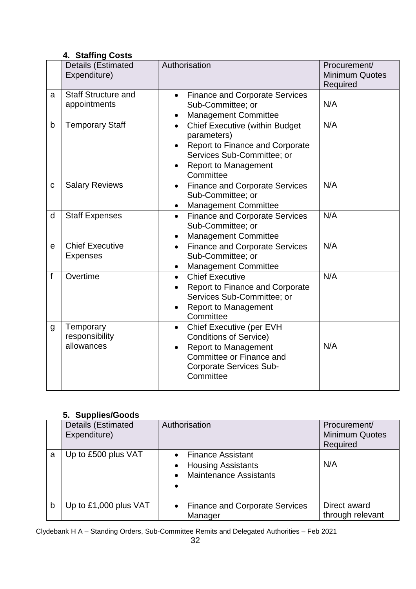## **4. Staffing Costs**

|   | <b>Details (Estimated</b><br>Expenditure)  | Authorisation                                                                                                                                                                                      | Procurement/<br><b>Minimum Quotes</b><br>Required |
|---|--------------------------------------------|----------------------------------------------------------------------------------------------------------------------------------------------------------------------------------------------------|---------------------------------------------------|
| a | <b>Staff Structure and</b><br>appointments | <b>Finance and Corporate Services</b><br>$\bullet$<br>Sub-Committee; or<br><b>Management Committee</b><br>$\bullet$                                                                                | N/A                                               |
| b | <b>Temporary Staff</b>                     | <b>Chief Executive (within Budget</b><br>$\bullet$<br>parameters)<br><b>Report to Finance and Corporate</b><br>Services Sub-Committee; or<br><b>Report to Management</b><br>$\bullet$<br>Committee | N/A                                               |
| C | <b>Salary Reviews</b>                      | <b>Finance and Corporate Services</b><br>$\bullet$<br>Sub-Committee; or<br><b>Management Committee</b><br>٠                                                                                        | N/A                                               |
| d | <b>Staff Expenses</b>                      | <b>Finance and Corporate Services</b><br>$\bullet$<br>Sub-Committee; or<br>Management Committee<br>$\bullet$                                                                                       | N/A                                               |
| e | <b>Chief Executive</b><br><b>Expenses</b>  | <b>Finance and Corporate Services</b><br>$\bullet$<br>Sub-Committee; or<br><b>Management Committee</b><br>$\bullet$                                                                                | N/A                                               |
| f | Overtime                                   | <b>Chief Executive</b><br>$\bullet$<br><b>Report to Finance and Corporate</b><br>Services Sub-Committee; or<br><b>Report to Management</b><br>$\bullet$<br>Committee                               | N/A                                               |
| g | Temporary<br>responsibility<br>allowances  | Chief Executive (per EVH<br>$\bullet$<br><b>Conditions of Service)</b><br><b>Report to Management</b><br>$\bullet$<br>Committee or Finance and<br><b>Corporate Services Sub-</b><br>Committee      | N/A                                               |

## **5. Supplies/Goods**

|   | .<br><b>Details (Estimated</b><br>Expenditure) | Authorisation                                                                     | Procurement/<br><b>Minimum Quotes</b><br>Required |
|---|------------------------------------------------|-----------------------------------------------------------------------------------|---------------------------------------------------|
| a | Up to £500 plus VAT                            | • Finance Assistant<br><b>Housing Assistants</b><br><b>Maintenance Assistants</b> | N/A                                               |
| b | Up to £1,000 plus VAT                          | • Finance and Corporate Services<br>Manager                                       | Direct award<br>through relevant                  |

Clydebank H A – Standing Orders, Sub-Committee Remits and Delegated Authorities – Feb 2021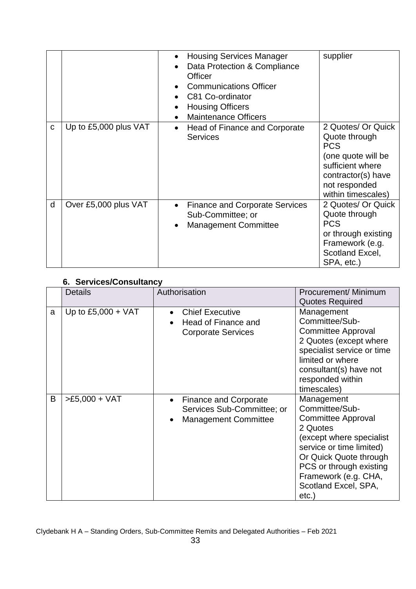|   |                       | <b>Housing Services Manager</b><br>$\bullet$<br>Data Protection & Compliance<br>Officer<br><b>Communications Officer</b><br>C81 Co-ordinator<br><b>Housing Officers</b><br><b>Maintenance Officers</b><br>$\bullet$ | supplier                                                                                                                                                 |
|---|-----------------------|---------------------------------------------------------------------------------------------------------------------------------------------------------------------------------------------------------------------|----------------------------------------------------------------------------------------------------------------------------------------------------------|
| C | Up to £5,000 plus VAT | Head of Finance and Corporate<br>$\bullet$<br><b>Services</b>                                                                                                                                                       | 2 Quotes/ Or Quick<br>Quote through<br><b>PCS</b><br>(one quote will be<br>sufficient where<br>contractor(s) have<br>not responded<br>within timescales) |
| d | Over £5,000 plus VAT  | <b>Finance and Corporate Services</b><br>$\bullet$<br>Sub-Committee; or<br><b>Management Committee</b><br>$\bullet$                                                                                                 | 2 Quotes/ Or Quick<br>Quote through<br><b>PCS</b><br>or through existing<br>Framework (e.g.<br>Scotland Excel,<br>SPA, etc.)                             |

## **6. Services/Consultancy**

|   | <b>PULLINUS OUTBUILDING</b><br><b>Details</b> | Authorisation                                                                                          | Procurement/ Minimum                                                                                                                                                                                                                        |
|---|-----------------------------------------------|--------------------------------------------------------------------------------------------------------|---------------------------------------------------------------------------------------------------------------------------------------------------------------------------------------------------------------------------------------------|
|   |                                               |                                                                                                        | <b>Quotes Required</b>                                                                                                                                                                                                                      |
| a | Up to $£5,000 + VAT$                          | <b>Chief Executive</b><br>$\bullet$<br>Head of Finance and<br><b>Corporate Services</b>                | Management<br>Committee/Sub-<br><b>Committee Approval</b><br>2 Quotes (except where<br>specialist service or time<br>limited or where<br>consultant(s) have not<br>responded within<br>timescales)                                          |
| B | $>E5,000 + VAT$                               | <b>Finance and Corporate</b><br>$\bullet$<br>Services Sub-Committee; or<br><b>Management Committee</b> | Management<br>Committee/Sub-<br><b>Committee Approval</b><br>2 Quotes<br>(except where specialist<br>service or time limited)<br>Or Quick Quote through<br>PCS or through existing<br>Framework (e.g. CHA,<br>Scotland Excel, SPA,<br>etc.) |

Clydebank H A – Standing Orders, Sub-Committee Remits and Delegated Authorities – Feb 2021